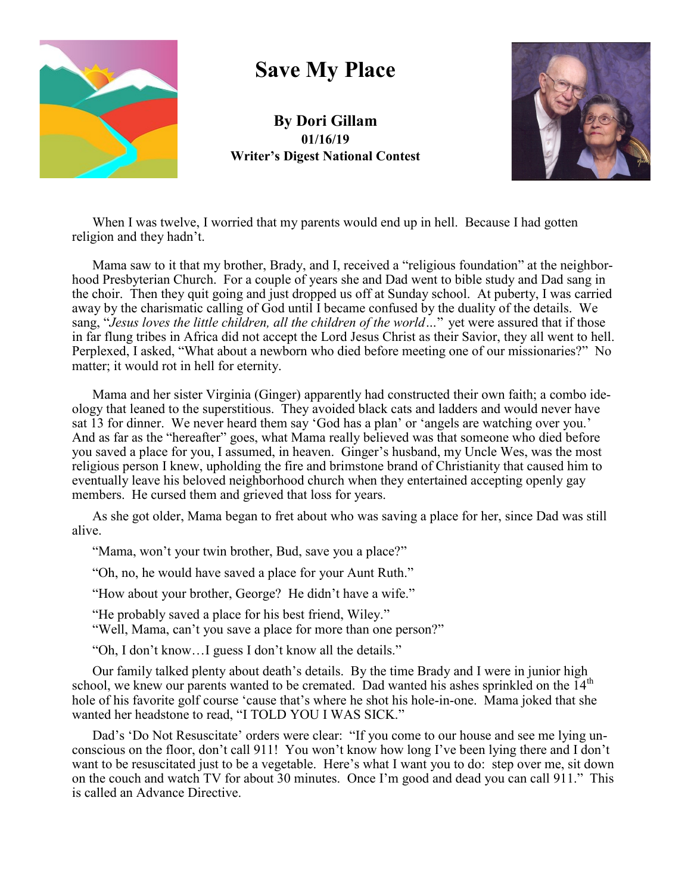

## **Save My Place**

**By Dori Gillam 01/16/19 Writer's Digest National Contest**



When I was twelve, I worried that my parents would end up in hell. Because I had gotten religion and they hadn't.

Mama saw to it that my brother, Brady, and I, received a "religious foundation" at the neighborhood Presbyterian Church. For a couple of years she and Dad went to bible study and Dad sang in the choir. Then they quit going and just dropped us off at Sunday school. At puberty, I was carried away by the charismatic calling of God until I became confused by the duality of the details. We sang, "*Jesus loves the little children, all the children of the world…*" yet were assured that if those in far flung tribes in Africa did not accept the Lord Jesus Christ as their Savior, they all went to hell. Perplexed, I asked, "What about a newborn who died before meeting one of our missionaries?" No matter; it would rot in hell for eternity.

Mama and her sister Virginia (Ginger) apparently had constructed their own faith; a combo ideology that leaned to the superstitious. They avoided black cats and ladders and would never have sat 13 for dinner. We never heard them say 'God has a plan' or 'angels are watching over you.' And as far as the "hereafter" goes, what Mama really believed was that someone who died before you saved a place for you, I assumed, in heaven. Ginger's husband, my Uncle Wes, was the most religious person I knew, upholding the fire and brimstone brand of Christianity that caused him to eventually leave his beloved neighborhood church when they entertained accepting openly gay members. He cursed them and grieved that loss for years.

As she got older, Mama began to fret about who was saving a place for her, since Dad was still alive.

"Mama, won't your twin brother, Bud, save you a place?"

"Oh, no, he would have saved a place for your Aunt Ruth."

"How about your brother, George? He didn't have a wife."

"He probably saved a place for his best friend, Wiley."

"Well, Mama, can't you save a place for more than one person?"

"Oh, I don't know…I guess I don't know all the details."

Our family talked plenty about death's details. By the time Brady and I were in junior high school, we knew our parents wanted to be cremated. Dad wanted his ashes sprinkled on the  $14<sup>th</sup>$ hole of his favorite golf course 'cause that's where he shot his hole-in-one. Mama joked that she wanted her headstone to read, "I TOLD YOU I WAS SICK."

Dad's 'Do Not Resuscitate' orders were clear: "If you come to our house and see me lying unconscious on the floor, don't call 911! You won't know how long I've been lying there and I don't want to be resuscitated just to be a vegetable. Here's what I want you to do: step over me, sit down on the couch and watch TV for about 30 minutes. Once I'm good and dead you can call 911." This is called an Advance Directive.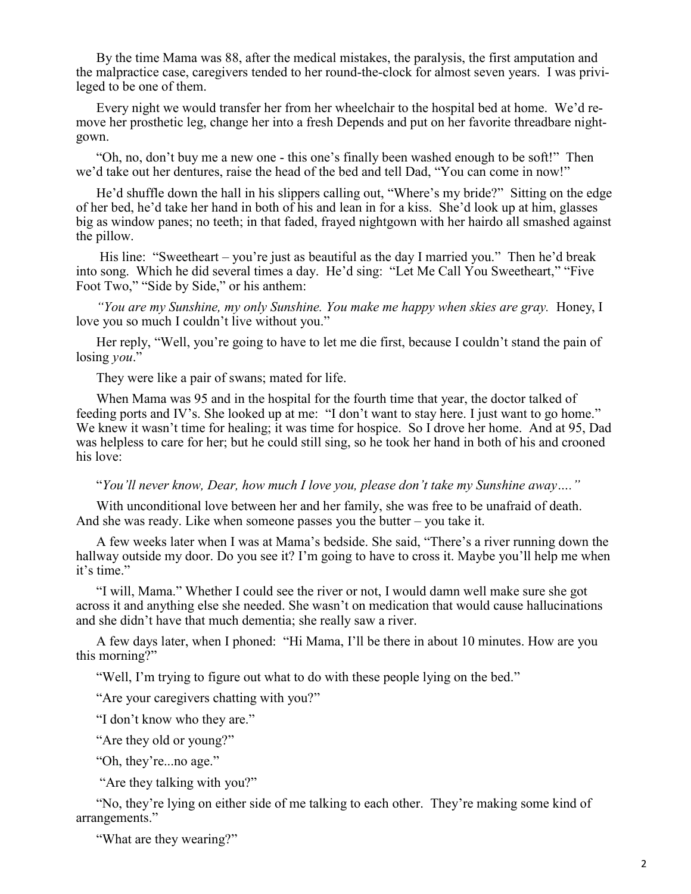By the time Mama was 88, after the medical mistakes, the paralysis, the first amputation and the malpractice case, caregivers tended to her round-the-clock for almost seven years. I was privileged to be one of them.

Every night we would transfer her from her wheelchair to the hospital bed at home. We'd remove her prosthetic leg, change her into a fresh Depends and put on her favorite threadbare nightgown.

"Oh, no, don't buy me a new one - this one's finally been washed enough to be soft!" Then we'd take out her dentures, raise the head of the bed and tell Dad, "You can come in now!"

He'd shuffle down the hall in his slippers calling out, "Where's my bride?" Sitting on the edge of her bed, he'd take her hand in both of his and lean in for a kiss. She'd look up at him, glasses big as window panes; no teeth; in that faded, frayed nightgown with her hairdo all smashed against the pillow.

His line: "Sweetheart – you're just as beautiful as the day I married you." Then he'd break into song. Which he did several times a day. He'd sing: "Let Me Call You Sweetheart," "Five Foot Two," "Side by Side," or his anthem:

*"You are my Sunshine, my only Sunshine. You make me happy when skies are gray.* Honey, I love you so much I couldn't live without you."

Her reply, "Well, you're going to have to let me die first, because I couldn't stand the pain of losing *you*."

They were like a pair of swans; mated for life.

When Mama was 95 and in the hospital for the fourth time that year, the doctor talked of feeding ports and IV's. She looked up at me: "I don't want to stay here. I just want to go home." We knew it wasn't time for healing; it was time for hospice. So I drove her home. And at 95, Dad was helpless to care for her; but he could still sing, so he took her hand in both of his and crooned his love:

"*You'll never know, Dear, how much I love you, please don't take my Sunshine away…."*

With unconditional love between her and her family, she was free to be unafraid of death. And she was ready. Like when someone passes you the butter – you take it.

A few weeks later when I was at Mama's bedside. She said, "There's a river running down the hallway outside my door. Do you see it? I'm going to have to cross it. Maybe you'll help me when it's time."

"I will, Mama." Whether I could see the river or not, I would damn well make sure she got across it and anything else she needed. She wasn't on medication that would cause hallucinations and she didn't have that much dementia; she really saw a river.

A few days later, when I phoned: "Hi Mama, I'll be there in about 10 minutes. How are you this morning?"

"Well, I'm trying to figure out what to do with these people lying on the bed."

"Are your caregivers chatting with you?"

"I don't know who they are."

"Are they old or young?"

"Oh, they're...no age."

"Are they talking with you?"

"No, they're lying on either side of me talking to each other. They're making some kind of arrangements."

"What are they wearing?"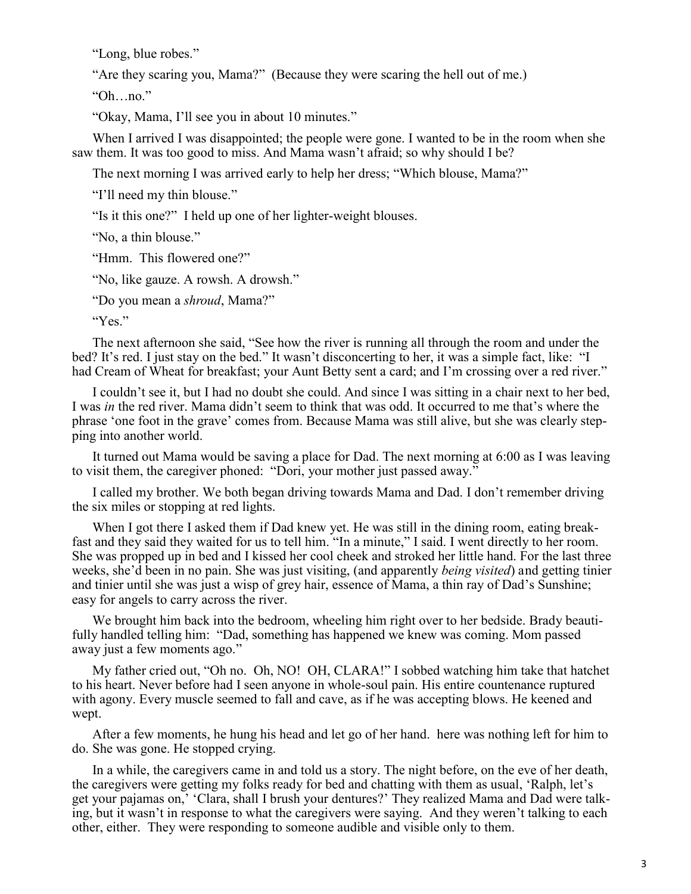"Long, blue robes."

"Are they scaring you, Mama?" (Because they were scaring the hell out of me.)

"Oh…no."

"Okay, Mama, I'll see you in about 10 minutes."

When I arrived I was disappointed; the people were gone. I wanted to be in the room when she saw them. It was too good to miss. And Mama wasn't afraid; so why should I be?

The next morning I was arrived early to help her dress; "Which blouse, Mama?"

"I'll need my thin blouse."

"Is it this one?" I held up one of her lighter-weight blouses.

"No, a thin blouse."

"Hmm. This flowered one?"

"No, like gauze. A rowsh. A drowsh."

"Do you mean a *shroud*, Mama?"

"Yes."

The next afternoon she said, "See how the river is running all through the room and under the bed? It's red. I just stay on the bed." It wasn't disconcerting to her, it was a simple fact, like: "I had Cream of Wheat for breakfast; your Aunt Betty sent a card; and I'm crossing over a red river."

I couldn't see it, but I had no doubt she could. And since I was sitting in a chair next to her bed, I was *in* the red river. Mama didn't seem to think that was odd. It occurred to me that's where the phrase 'one foot in the grave' comes from. Because Mama was still alive, but she was clearly stepping into another world.

It turned out Mama would be saving a place for Dad. The next morning at 6:00 as I was leaving to visit them, the caregiver phoned: "Dori, your mother just passed away."

I called my brother. We both began driving towards Mama and Dad. I don't remember driving the six miles or stopping at red lights.

When I got there I asked them if Dad knew yet. He was still in the dining room, eating breakfast and they said they waited for us to tell him. "In a minute," I said. I went directly to her room. She was propped up in bed and I kissed her cool cheek and stroked her little hand. For the last three weeks, she'd been in no pain. She was just visiting, (and apparently *being visited*) and getting tinier and tinier until she was just a wisp of grey hair, essence of Mama, a thin ray of Dad's Sunshine; easy for angels to carry across the river.

We brought him back into the bedroom, wheeling him right over to her bedside. Brady beautifully handled telling him: "Dad, something has happened we knew was coming. Mom passed away just a few moments ago."

My father cried out, "Oh no. Oh, NO! OH, CLARA!" I sobbed watching him take that hatchet to his heart. Never before had I seen anyone in whole-soul pain. His entire countenance ruptured with agony. Every muscle seemed to fall and cave, as if he was accepting blows. He keened and wept.

After a few moments, he hung his head and let go of her hand. here was nothing left for him to do. She was gone. He stopped crying.

In a while, the caregivers came in and told us a story. The night before, on the eve of her death, the caregivers were getting my folks ready for bed and chatting with them as usual, 'Ralph, let's get your pajamas on,' 'Clara, shall I brush your dentures?' They realized Mama and Dad were talking, but it wasn't in response to what the caregivers were saying. And they weren't talking to each other, either. They were responding to someone audible and visible only to them.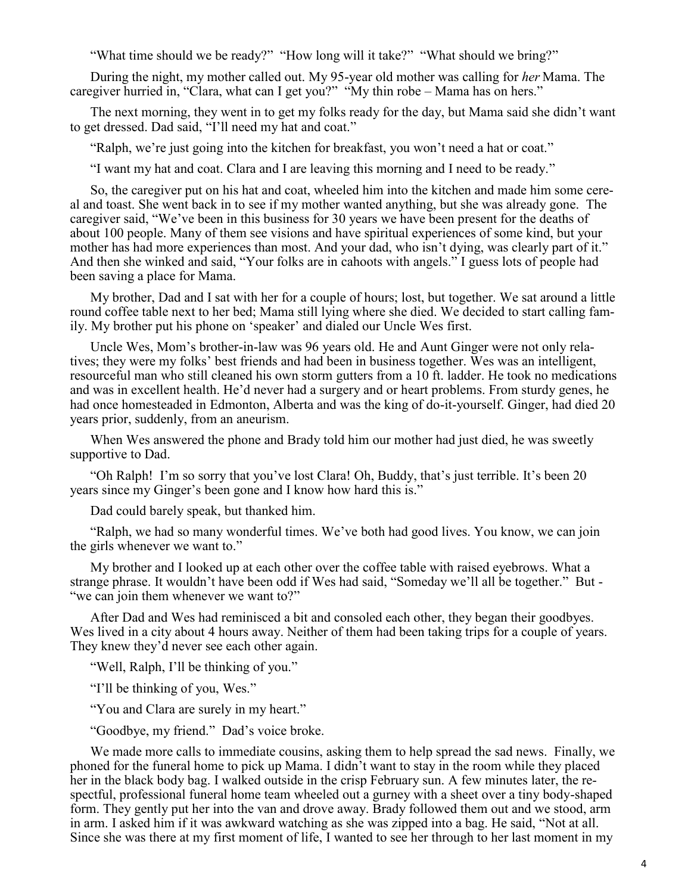"What time should we be ready?" "How long will it take?" "What should we bring?"

During the night, my mother called out. My 95-year old mother was calling for *her* Mama. The caregiver hurried in, "Clara, what can I get you?" "My thin robe – Mama has on hers."

The next morning, they went in to get my folks ready for the day, but Mama said she didn't want to get dressed. Dad said, "I'll need my hat and coat."

"Ralph, we're just going into the kitchen for breakfast, you won't need a hat or coat."

"I want my hat and coat. Clara and I are leaving this morning and I need to be ready."

So, the caregiver put on his hat and coat, wheeled him into the kitchen and made him some cereal and toast. She went back in to see if my mother wanted anything, but she was already gone. The caregiver said, "We've been in this business for 30 years we have been present for the deaths of about 100 people. Many of them see visions and have spiritual experiences of some kind, but your mother has had more experiences than most. And your dad, who isn't dying, was clearly part of it." And then she winked and said, "Your folks are in cahoots with angels." I guess lots of people had been saving a place for Mama.

My brother, Dad and I sat with her for a couple of hours; lost, but together. We sat around a little round coffee table next to her bed; Mama still lying where she died. We decided to start calling family. My brother put his phone on 'speaker' and dialed our Uncle Wes first.

Uncle Wes, Mom's brother-in-law was 96 years old. He and Aunt Ginger were not only relatives; they were my folks' best friends and had been in business together. Wes was an intelligent, resourceful man who still cleaned his own storm gutters from a 10 ft. ladder. He took no medications and was in excellent health. He'd never had a surgery and or heart problems. From sturdy genes, he had once homesteaded in Edmonton, Alberta and was the king of do-it-yourself. Ginger, had died 20 years prior, suddenly, from an aneurism.

When Wes answered the phone and Brady told him our mother had just died, he was sweetly supportive to Dad.

"Oh Ralph! I'm so sorry that you've lost Clara! Oh, Buddy, that's just terrible. It's been 20 years since my Ginger's been gone and I know how hard this is."

Dad could barely speak, but thanked him.

"Ralph, we had so many wonderful times. We've both had good lives. You know, we can join the girls whenever we want to."

My brother and I looked up at each other over the coffee table with raised eyebrows. What a strange phrase. It wouldn't have been odd if Wes had said, "Someday we'll all be together." But - "we can join them whenever we want to?"

After Dad and Wes had reminisced a bit and consoled each other, they began their goodbyes. Wes lived in a city about 4 hours away. Neither of them had been taking trips for a couple of years. They knew they'd never see each other again.

"Well, Ralph, I'll be thinking of you."

"I'll be thinking of you, Wes."

"You and Clara are surely in my heart."

"Goodbye, my friend." Dad's voice broke.

We made more calls to immediate cousins, asking them to help spread the sad news. Finally, we phoned for the funeral home to pick up Mama. I didn't want to stay in the room while they placed her in the black body bag. I walked outside in the crisp February sun. A few minutes later, the respectful, professional funeral home team wheeled out a gurney with a sheet over a tiny body-shaped form. They gently put her into the van and drove away. Brady followed them out and we stood, arm in arm. I asked him if it was awkward watching as she was zipped into a bag. He said, "Not at all. Since she was there at my first moment of life, I wanted to see her through to her last moment in my